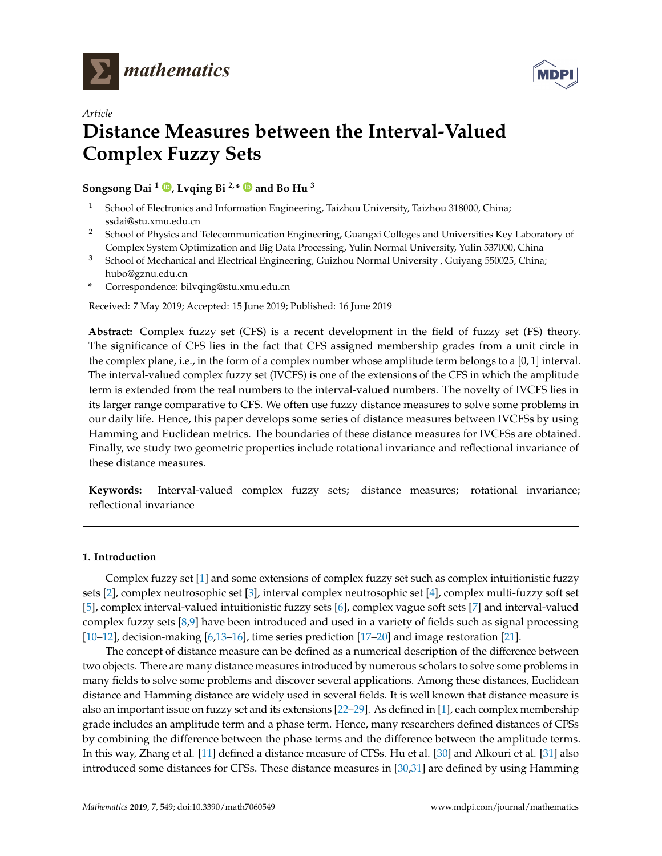



# *Article* **Distance Measures between the Interval-Valued Complex Fuzzy Sets**

**Songsong Dai <sup>1</sup> [,](https://orcid.org/0000-0003-2283-9459) Lvqing Bi 2,\* and Bo Hu <sup>3</sup>**

- <sup>1</sup> School of Electronics and Information Engineering, Taizhou University, Taizhou 318000, China; ssdai@stu.xmu.edu.cn
- <sup>2</sup> School of Physics and Telecommunication Engineering, Guangxi Colleges and Universities Key Laboratory of Complex System Optimization and Big Data Processing, Yulin Normal University, Yulin 537000, China
- <sup>3</sup> School of Mechanical and Electrical Engineering, Guizhou Normal University, Guiyang 550025, China; hubo@gznu.edu.cn
- **\*** Correspondence: bilvqing@stu.xmu.edu.cn

Received: 7 May 2019; Accepted: 15 June 2019; Published: 16 June 2019

**Abstract:** Complex fuzzy set (CFS) is a recent development in the field of fuzzy set (FS) theory. The significance of CFS lies in the fact that CFS assigned membership grades from a unit circle in the complex plane, i.e., in the form of a complex number whose amplitude term belongs to a  $[0,1]$  interval. The interval-valued complex fuzzy set (IVCFS) is one of the extensions of the CFS in which the amplitude term is extended from the real numbers to the interval-valued numbers. The novelty of IVCFS lies in its larger range comparative to CFS. We often use fuzzy distance measures to solve some problems in our daily life. Hence, this paper develops some series of distance measures between IVCFSs by using Hamming and Euclidean metrics. The boundaries of these distance measures for IVCFSs are obtained. Finally, we study two geometric properties include rotational invariance and reflectional invariance of these distance measures.

**Keywords:** Interval-valued complex fuzzy sets; distance measures; rotational invariance; reflectional invariance

## **1. Introduction**

Complex fuzzy set [\[1\]](#page-9-0) and some extensions of complex fuzzy set such as complex intuitionistic fuzzy sets [\[2\]](#page-9-1), complex neutrosophic set [\[3\]](#page-9-2), interval complex neutrosophic set [\[4\]](#page-9-3), complex multi-fuzzy soft set [\[5\]](#page-10-0), complex interval-valued intuitionistic fuzzy sets [\[6\]](#page-10-1), complex vague soft sets [\[7\]](#page-10-2) and interval-valued complex fuzzy sets [\[8,](#page-10-3)[9\]](#page-10-4) have been introduced and used in a variety of fields such as signal processing [\[10–](#page-10-5)[12\]](#page-10-6), decision-making [\[6](#page-10-1)[,13–](#page-10-7)[16\]](#page-10-8), time series prediction [\[17–](#page-10-9)[20\]](#page-10-10) and image restoration [\[21\]](#page-10-11).

The concept of distance measure can be defined as a numerical description of the difference between two objects. There are many distance measures introduced by numerous scholars to solve some problems in many fields to solve some problems and discover several applications. Among these distances, Euclidean distance and Hamming distance are widely used in several fields. It is well known that distance measure is also an important issue on fuzzy set and its extensions [\[22](#page-10-12)[–29\]](#page-10-13). As defined in [\[1\]](#page-9-0), each complex membership grade includes an amplitude term and a phase term. Hence, many researchers defined distances of CFSs by combining the difference between the phase terms and the difference between the amplitude terms. In this way, Zhang et al. [\[11\]](#page-10-14) defined a distance measure of CFSs. Hu et al. [\[30\]](#page-11-0) and Alkouri et al. [\[31\]](#page-11-1) also introduced some distances for CFSs. These distance measures in [\[30,](#page-11-0)[31\]](#page-11-1) are defined by using Hamming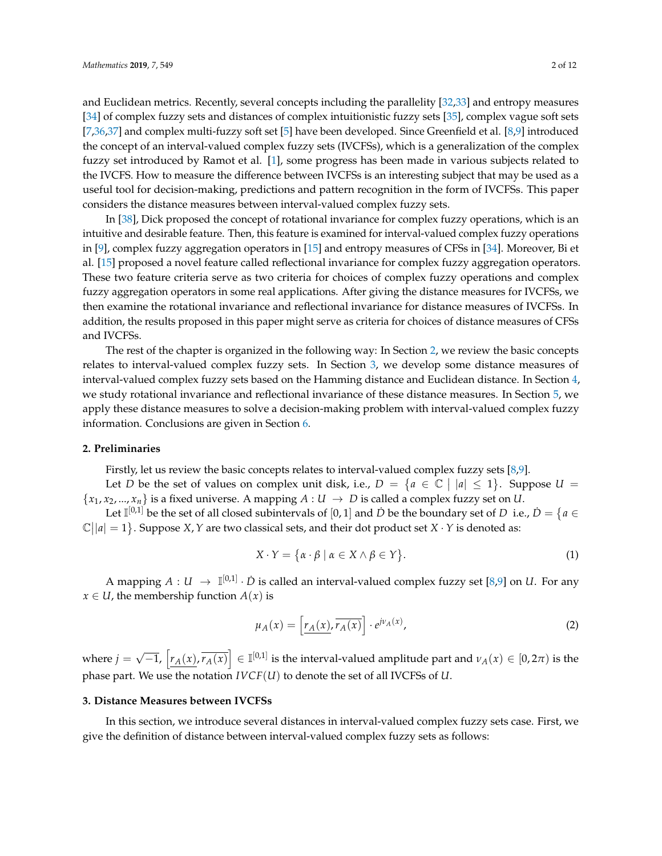and Euclidean metrics. Recently, several concepts including the parallelity [\[32,](#page-11-2)[33\]](#page-11-3) and entropy measures [\[34\]](#page-11-4) of complex fuzzy sets and distances of complex intuitionistic fuzzy sets [\[35\]](#page-11-5), complex vague soft sets [\[7,](#page-10-2)[36,](#page-11-6)[37\]](#page-11-7) and complex multi-fuzzy soft set [\[5\]](#page-10-0) have been developed. Since Greenfield et al. [\[8](#page-10-3)[,9\]](#page-10-4) introduced the concept of an interval-valued complex fuzzy sets (IVCFSs), which is a generalization of the complex fuzzy set introduced by Ramot et al. [\[1\]](#page-9-0), some progress has been made in various subjects related to the IVCFS. How to measure the difference between IVCFSs is an interesting subject that may be used as a useful tool for decision-making, predictions and pattern recognition in the form of IVCFSs. This paper considers the distance measures between interval-valued complex fuzzy sets.

In [\[38\]](#page-11-8), Dick proposed the concept of rotational invariance for complex fuzzy operations, which is an intuitive and desirable feature. Then, this feature is examined for interval-valued complex fuzzy operations in [\[9\]](#page-10-4), complex fuzzy aggregation operators in [\[15\]](#page-10-15) and entropy measures of CFSs in [\[34\]](#page-11-4). Moreover, Bi et al. [\[15\]](#page-10-15) proposed a novel feature called reflectional invariance for complex fuzzy aggregation operators. These two feature criteria serve as two criteria for choices of complex fuzzy operations and complex fuzzy aggregation operators in some real applications. After giving the distance measures for IVCFSs, we then examine the rotational invariance and reflectional invariance for distance measures of IVCFSs. In addition, the results proposed in this paper might serve as criteria for choices of distance measures of CFSs and IVCFSs.

The rest of the chapter is organized in the following way: In Section [2,](#page-1-0) we review the basic concepts relates to interval-valued complex fuzzy sets. In Section [3,](#page-1-1) we develop some distance measures of interval-valued complex fuzzy sets based on the Hamming distance and Euclidean distance. In Section [4,](#page-6-0) we study rotational invariance and reflectional invariance of these distance measures. In Section [5,](#page-8-0) we apply these distance measures to solve a decision-making problem with interval-valued complex fuzzy information. Conclusions are given in Section [6.](#page-9-4)

## <span id="page-1-0"></span>**2. Preliminaries**

Firstly, let us review the basic concepts relates to interval-valued complex fuzzy sets [\[8,](#page-10-3)[9\]](#page-10-4).

Let *D* be the set of values on complex unit disk, i.e.,  $D = \{a \in \mathbb{C} \mid |a| \leq 1\}$ . Suppose  $U =$  ${x_1, x_2, ..., x_n}$  is a fixed universe. A mapping  $A: U \rightarrow D$  is called a complex fuzzy set on *U*.

Let  $\mathbb{I}^{[0,1]}$  be the set of all closed subintervals of  $[0,1]$  and  $\dot{D}$  be the boundary set of  $D$  i.e.,  $\dot{D} = \{a \in D\}$  $\mathbb{C}(|a|=1$ . Suppose *X*, *Y* are two classical sets, and their dot product set *X* · *Y* is denoted as:

$$
X \cdot Y = \{ \alpha \cdot \beta \mid \alpha \in X \land \beta \in Y \}. \tag{1}
$$

A mapping  $A: U \to \mathbb{I}^{[0,1]} \cdot \dot{D}$  is called an interval-valued complex fuzzy set [\[8](#page-10-3)[,9\]](#page-10-4) on *U*. For any  $x \in U$ , the membership function  $A(x)$  is

$$
\mu_A(x) = \left[ \underline{r_A(x)}, \overline{r_A(x)} \right] \cdot e^{j\nu_A(x)},\tag{2}
$$

where  $j =$ √  $\overline{-1}$ ,  $\left[r_A(x), \overline{r_A(x)}\right]$  ∈ I<sup>[0,1]</sup> is the interval-valued amplitude part and  $ν_A(x) ∈ [0, 2π)$  is the phase part. We use the notation *IVCF*(*U*) to denote the set of all IVCFSs of *U*.

#### <span id="page-1-1"></span>**3. Distance Measures between IVCFSs**

In this section, we introduce several distances in interval-valued complex fuzzy sets case. First, we give the definition of distance between interval-valued complex fuzzy sets as follows: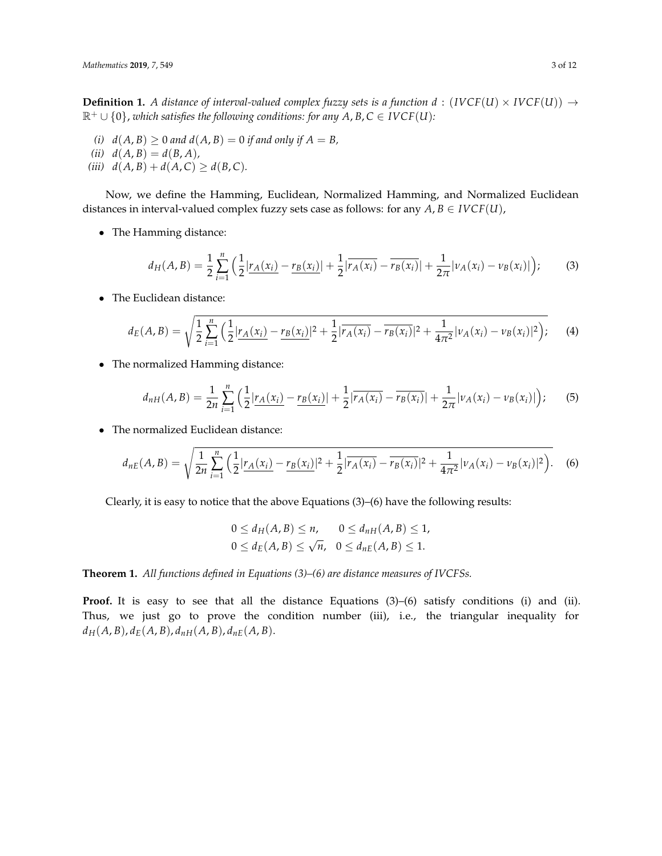**Definition 1.** *A distance of interval-valued complex fuzzy sets is a function*  $d$  *: (IVCF(U)*  $\times$  *IVCF(U))*  $\rightarrow$  $\mathbb{R}^+ \cup \{0\}$ , *which satisfies the following conditions: for any A, B, C*  $\in$  *IVCF(U):* 

- *(i)*  $d(A, B) \ge 0$  *and*  $d(A, B) = 0$  *if and only if*  $A = B$ ,
- $(iii)$   $d(A, B) = d(B, A)$ ,
- *(iii)*  $d(A, B) + d(A, C) \ge d(B, C)$ .

Now, we define the Hamming, Euclidean, Normalized Hamming, and Normalized Euclidean distances in interval-valued complex fuzzy sets case as follows: for any  $A, B \in I VCF(U)$ ,

• The Hamming distance:

$$
d_H(A,B) = \frac{1}{2} \sum_{i=1}^n \left( \frac{1}{2} |r_A(x_i) - r_B(x_i)| + \frac{1}{2} |\overline{r_A(x_i)} - \overline{r_B(x_i)}| + \frac{1}{2\pi} |\nu_A(x_i) - \nu_B(x_i)| \right); \tag{3}
$$

• The Euclidean distance:

$$
d_E(A, B) = \sqrt{\frac{1}{2} \sum_{i=1}^n \left( \frac{1}{2} |r_A(x_i) - r_B(x_i)|^2 + \frac{1}{2} |\overline{r_A(x_i)} - \overline{r_B(x_i)}|^2 + \frac{1}{4\pi^2} |\nu_A(x_i) - \nu_B(x_i)|^2 \right)}.
$$
 (4)

• The normalized Hamming distance:

$$
d_{nH}(A,B) = \frac{1}{2n} \sum_{i=1}^{n} \left( \frac{1}{2} |r_A(x_i) - r_B(x_i)| + \frac{1}{2} |r_A(x_i) - r_B(x_i)| + \frac{1}{2\pi} |v_A(x_i) - v_B(x_i)| \right); \tag{5}
$$

• The normalized Euclidean distance:

$$
d_{nE}(A,B) = \sqrt{\frac{1}{2n} \sum_{i=1}^{n} \left( \frac{1}{2} |r_A(x_i) - r_B(x_i)|^2 + \frac{1}{2} |r_A(x_i) - r_B(x_i)|^2 + \frac{1}{4\pi^2} |v_A(x_i) - v_B(x_i)|^2 \right)}.
$$
 (6)

Clearly, it is easy to notice that the above Equations  $(3)$ – $(6)$  have the following results:

$$
0 \le d_H(A, B) \le n, \qquad 0 \le d_{nH}(A, B) \le 1,
$$
  

$$
0 \le d_E(A, B) \le \sqrt{n}, \quad 0 \le d_{nE}(A, B) \le 1.
$$

<span id="page-2-0"></span>**Theorem 1.** *All functions defined in Equations (3)–(6) are distance measures of IVCFSs.*

**Proof.** It is easy to see that all the distance Equations (3)–(6) satisfy conditions (i) and (ii). Thus, we just go to prove the condition number (iii), i.e., the triangular inequality for  $d_H(A, B), d_E(A, B), d_{nH}(A, B), d_{nE}(A, B).$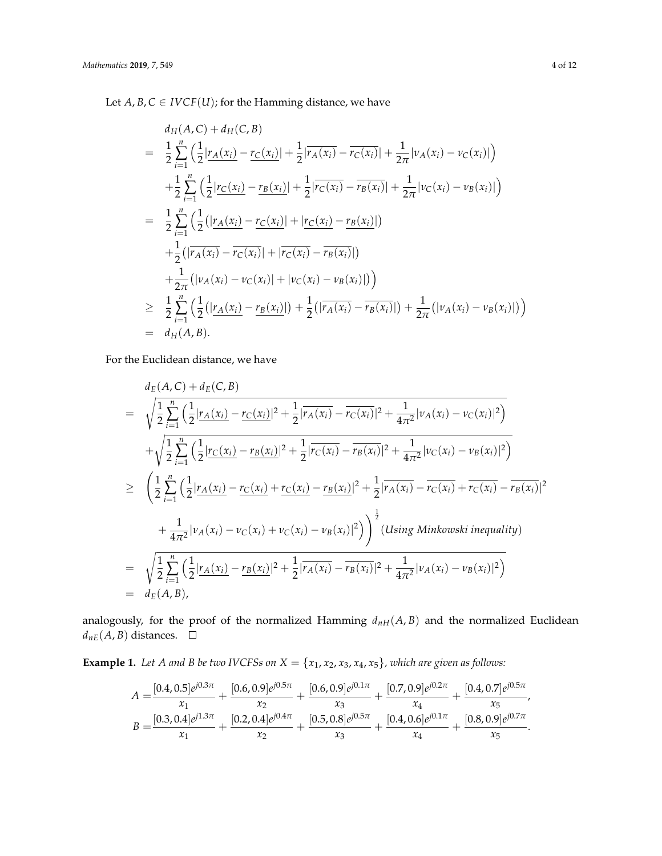Let  $A, B, C \in \text{IVCF}(U)$ ; for the Hamming distance, we have

$$
d_{H}(A, C) + d_{H}(C, B)
$$
\n
$$
= \frac{1}{2} \sum_{i=1}^{n} \left( \frac{1}{2} |r_{A}(x_{i}) - r_{C}(x_{i})| + \frac{1}{2} |\overline{r_{A}(x_{i})} - \overline{r_{C}(x_{i})}| + \frac{1}{2\pi} |v_{A}(x_{i}) - v_{C}(x_{i})| \right)
$$
\n
$$
+ \frac{1}{2} \sum_{i=1}^{n} \left( \frac{1}{2} |r_{C}(x_{i}) - r_{B}(x_{i})| + \frac{1}{2} |\overline{r_{C}(x_{i})} - \overline{r_{B}(x_{i})}| + \frac{1}{2\pi} |v_{C}(x_{i}) - v_{B}(x_{i})| \right)
$$
\n
$$
= \frac{1}{2} \sum_{i=1}^{n} \left( \frac{1}{2} (|r_{A}(x_{i}) - r_{C}(x_{i})| + |r_{C}(x_{i}) - r_{B}(x_{i})|) + \frac{1}{2} (|\overline{r_{A}(x_{i})} - \overline{r_{C}(x_{i})}| + |\overline{r_{C}(x_{i})} - \overline{r_{B}(x_{i})}|) \right)
$$
\n
$$
+ \frac{1}{2\pi} (|v_{A}(x_{i}) - v_{C}(x_{i})| + |v_{C}(x_{i}) - v_{B}(x_{i})|)
$$
\n
$$
\geq \frac{1}{2} \sum_{i=1}^{n} \left( \frac{1}{2} (|r_{A}(x_{i}) - r_{B}(x_{i})|) + \frac{1}{2} (|r_{A}(x_{i}) - \overline{r_{B}(x_{i})}|) + \frac{1}{2\pi} (|v_{A}(x_{i}) - v_{B}(x_{i})|) \right)
$$
\n
$$
= d_{H}(A, B).
$$

For the Euclidean distance, we have

$$
= \sqrt{\frac{1}{2} \sum_{i=1}^{n} \left( \frac{1}{2} |r_A(x_i) - r_C(x_i)|^2 + \frac{1}{2} |r_A(x_i) - r_C(x_i)|^2 + \frac{1}{4\pi^2} |v_A(x_i) - v_C(x_i)|^2 \right)}
$$
  
+  $\sqrt{\frac{1}{2} \sum_{i=1}^{n} \left( \frac{1}{2} |r_C(x_i) - r_B(x_i)|^2 + \frac{1}{2} |r_C(x_i) - r_B(x_i)|^2 + \frac{1}{4\pi^2} |v_C(x_i) - v_B(x_i)|^2 \right)}$   

$$
\geq \left( \frac{1}{2} \sum_{i=1}^{n} \left( \frac{1}{2} |r_A(x_i) - r_C(x_i)| + \frac{r_C(x_i)}{2} - \frac{r_B(x_i)}{2} |r_A(x_i) - r_C(x_i) + \frac{1}{r_C(x_i)} - \frac{r_B(x_i)}{2} |r_A(x_i) - \frac{r_C(x_i)}{2} + \frac{1}{4\pi^2} |v_A(x_i) - v_C(x_i) + v_C(x_i) - v_B(x_i)|^2 \right) \right)^{\frac{1}{2}} (Using Minkowski inequality)
$$
  

$$
= \sqrt{\frac{1}{2} \sum_{i=1}^{n} \left( \frac{1}{2} |r_A(x_i) - r_B(x_i)|^2 + \frac{1}{2} |r_A(x_i) - r_B(x_i)|^2 + \frac{1}{4\pi^2} |v_A(x_i) - v_B(x_i)|^2 \right)}
$$
  

$$
= d_E(A, B),
$$

analogously, for the proof of the normalized Hamming  $d_{nH}(A, B)$  and the normalized Euclidean  $d_{nE}(A, B)$  distances.  $\square$ 

<span id="page-3-0"></span>**Example 1.** *Let A and B be two IVCFSs on*  $X = \{x_1, x_2, x_3, x_4, x_5\}$ , which are given as follows:

$$
A = \frac{[0.4, 0.5]e^{j0.3\pi}}{x_1} + \frac{[0.6, 0.9]e^{j0.5\pi}}{x_2} + \frac{[0.6, 0.9]e^{j0.1\pi}}{x_3} + \frac{[0.7, 0.9]e^{j0.2\pi}}{x_4} + \frac{[0.4, 0.7]e^{j0.5\pi}}{x_5},
$$
  
\n
$$
B = \frac{[0.3, 0.4]e^{j1.3\pi}}{x_1} + \frac{[0.2, 0.4]e^{j0.4\pi}}{x_2} + \frac{[0.5, 0.8]e^{j0.5\pi}}{x_3} + \frac{[0.4, 0.6]e^{j0.1\pi}}{x_4} + \frac{[0.8, 0.9]e^{j0.7\pi}}{x_5}.
$$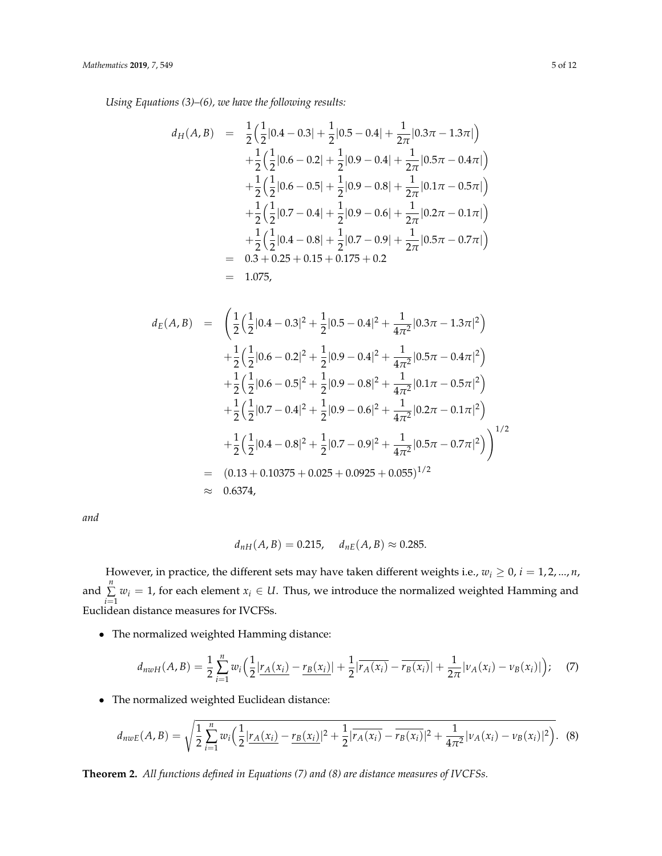*Using Equations (3)–(6), we have the following results:*

$$
d_{H}(A, B) = \frac{1}{2} \left( \frac{1}{2} |0.4 - 0.3| + \frac{1}{2} |0.5 - 0.4| + \frac{1}{2\pi} |0.3\pi - 1.3\pi| \right) + \frac{1}{2} \left( \frac{1}{2} |0.6 - 0.2| + \frac{1}{2} |0.9 - 0.4| + \frac{1}{2\pi} |0.5\pi - 0.4\pi| \right) + \frac{1}{2} \left( \frac{1}{2} |0.6 - 0.5| + \frac{1}{2} |0.9 - 0.8| + \frac{1}{2\pi} |0.1\pi - 0.5\pi| \right) + \frac{1}{2} \left( \frac{1}{2} |0.7 - 0.4| + \frac{1}{2} |0.9 - 0.6| + \frac{1}{2\pi} |0.2\pi - 0.1\pi| \right) + \frac{1}{2} \left( \frac{1}{2} |0.4 - 0.8| + \frac{1}{2} |0.7 - 0.9| + \frac{1}{2\pi} |0.5\pi - 0.7\pi| \right) = 0.3 + 0.25 + 0.15 + 0.175 + 0.2 = 1.075,
$$

$$
d_E(A, B) = \left(\frac{1}{2}\left(\frac{1}{2}|0.4 - 0.3|^2 + \frac{1}{2}|0.5 - 0.4|^2 + \frac{1}{4\pi^2}|0.3\pi - 1.3\pi|^2\right) \right.
$$
  
\n
$$
+ \frac{1}{2}\left(\frac{1}{2}|0.6 - 0.2|^2 + \frac{1}{2}|0.9 - 0.4|^2 + \frac{1}{4\pi^2}|0.5\pi - 0.4\pi|^2\right) \right.
$$
  
\n
$$
+ \frac{1}{2}\left(\frac{1}{2}|0.6 - 0.5|^2 + \frac{1}{2}|0.9 - 0.8|^2 + \frac{1}{4\pi^2}|0.1\pi - 0.5\pi|^2\right) \right.
$$
  
\n
$$
+ \frac{1}{2}\left(\frac{1}{2}|0.7 - 0.4|^2 + \frac{1}{2}|0.9 - 0.6|^2 + \frac{1}{4\pi^2}|0.2\pi - 0.1\pi|^2\right) \right.
$$
  
\n
$$
+ \frac{1}{2}\left(\frac{1}{2}|0.4 - 0.8|^2 + \frac{1}{2}|0.7 - 0.9|^2 + \frac{1}{4\pi^2}|0.5\pi - 0.7\pi|^2\right) \Big)^{1/2} \approx 0.6374,
$$
  
\n
$$
\approx 0.6374,
$$

*and*

$$
d_{nH}(A, B) = 0.215
$$
,  $d_{nE}(A, B) \approx 0.285$ .

However, in practice, the different sets may have taken different weights i.e.,  $w_i \geq 0$ ,  $i = 1, 2, ..., n$ , and  $\sum_{n=1}^{\infty}$  $\sum_{i=1} w_i = 1$ , for each element  $x_i \in U$ . Thus, we introduce the normalized weighted Hamming and Euclidean distance measures for IVCFSs.

• The normalized weighted Hamming distance:

$$
d_{nwH}(A,B) = \frac{1}{2} \sum_{i=1}^{n} w_i \Big( \frac{1}{2} |r_A(x_i) - r_B(x_i)| + \frac{1}{2} |\overline{r_A(x_i)} - \overline{r_B(x_i)}| + \frac{1}{2\pi} |\nu_A(x_i) - \nu_B(x_i)| \Big); \quad (7)
$$

• The normalized weighted Euclidean distance:

$$
d_{\text{nwE}}(A,B) = \sqrt{\frac{1}{2} \sum_{i=1}^{n} w_i \Big( \frac{1}{2} |r_A(x_i) - r_B(x_i)|^2 + \frac{1}{2} |r_A(x_i) - r_B(x_i)|^2 + \frac{1}{4\pi^2} |v_A(x_i) - v_B(x_i)|^2 \Big)}.
$$
 (8)

**Theorem 2.** *All functions defined in Equations (7) and (8) are distance measures of IVCFSs.*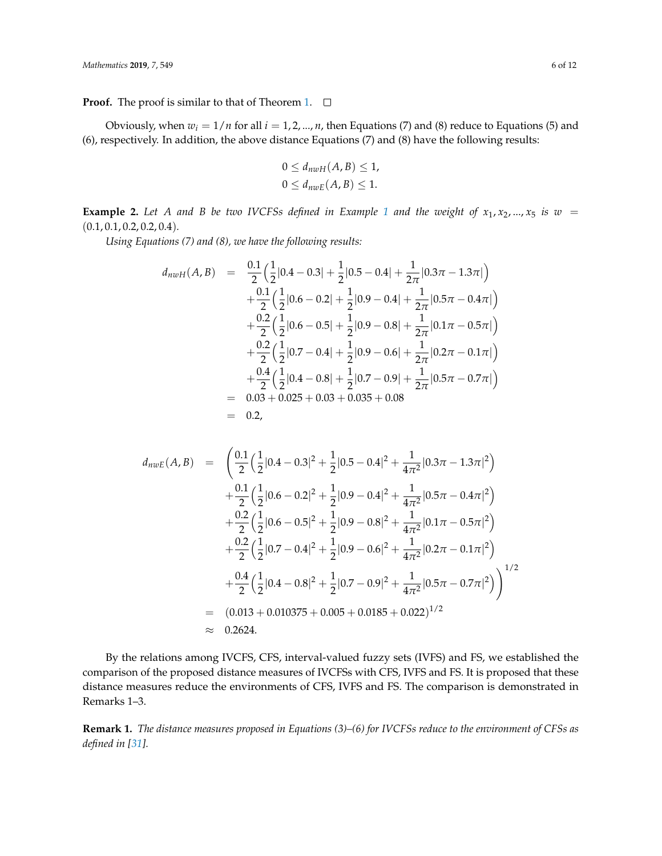**Proof.** The proof is similar to that of Theorem [1.](#page-2-0)  $\Box$ 

Obviously, when  $w_i = 1/n$  for all  $i = 1, 2, ..., n$ , then Equations (7) and (8) reduce to Equations (5) and (6), respectively. In addition, the above distance Equations (7) and (8) have the following results:

$$
0 \le d_{nwH}(A, B) \le 1,
$$
  

$$
0 \le d_{nwE}(A, B) \le 1.
$$

**Example 2.** Let A and B be two IVCFSs defined in Example [1](#page-3-0) and the weight of  $x_1, x_2, ..., x_5$  is  $w =$ (0.1, 0.1, 0.2, 0.2, 0.4)*.*

*Using Equations (7) and (8), we have the following results:*

$$
d_{nwH}(A, B) = \frac{0.1}{2} \left( \frac{1}{2} |0.4 - 0.3| + \frac{1}{2} |0.5 - 0.4| + \frac{1}{2\pi} |0.3\pi - 1.3\pi| \right) + \frac{0.1}{2} \left( \frac{1}{2} |0.6 - 0.2| + \frac{1}{2} |0.9 - 0.4| + \frac{1}{2\pi} |0.5\pi - 0.4\pi| \right) + \frac{0.2}{2} \left( \frac{1}{2} |0.6 - 0.5| + \frac{1}{2} |0.9 - 0.8| + \frac{1}{2\pi} |0.1\pi - 0.5\pi| \right) + \frac{0.2}{2} \left( \frac{1}{2} |0.7 - 0.4| + \frac{1}{2} |0.9 - 0.6| + \frac{1}{2\pi} |0.2\pi - 0.1\pi| \right) + \frac{0.4}{2} \left( \frac{1}{2} |0.4 - 0.8| + \frac{1}{2} |0.7 - 0.9| + \frac{1}{2\pi} |0.5\pi - 0.7\pi| \right) = 0.03 + 0.025 + 0.03 + 0.035 + 0.08 = 0.2,
$$

$$
d_{n w E}(A, B) = \left(\frac{0.1}{2} \left(\frac{1}{2} |0.4 - 0.3|^2 + \frac{1}{2} |0.5 - 0.4|^2 + \frac{1}{4\pi^2} |0.3\pi - 1.3\pi|^2\right) \right.
$$
  
\n
$$
+ \frac{0.1}{2} \left(\frac{1}{2} |0.6 - 0.2|^2 + \frac{1}{2} |0.9 - 0.4|^2 + \frac{1}{4\pi^2} |0.5\pi - 0.4\pi|^2\right) \right.
$$
  
\n
$$
+ \frac{0.2}{2} \left(\frac{1}{2} |0.6 - 0.5|^2 + \frac{1}{2} |0.9 - 0.8|^2 + \frac{1}{4\pi^2} |0.1\pi - 0.5\pi|^2\right) \left.
$$
  
\n
$$
+ \frac{0.2}{2} \left(\frac{1}{2} |0.7 - 0.4|^2 + \frac{1}{2} |0.9 - 0.6|^2 + \frac{1}{4\pi^2} |0.2\pi - 0.1\pi|^2\right) \left.\right.
$$
  
\n
$$
+ \frac{0.4}{2} \left(\frac{1}{2} |0.4 - 0.8|^2 + \frac{1}{2} |0.7 - 0.9|^2 + \frac{1}{4\pi^2} |0.5\pi - 0.7\pi|^2\right)\right)^{1/2}
$$
  
\n= (0.013 + 0.010375 + 0.005 + 0.0185 + 0.022)^{1/2}  
\n\approx 0.2624.

By the relations among IVCFS, CFS, interval-valued fuzzy sets (IVFS) and FS, we established the comparison of the proposed distance measures of IVCFSs with CFS, IVFS and FS. It is proposed that these distance measures reduce the environments of CFS, IVFS and FS. The comparison is demonstrated in Remarks 1–3.

**Remark 1.** *The distance measures proposed in Equations (3)–(6) for IVCFSs reduce to the environment of CFSs as defined in [\[31\]](#page-11-1).*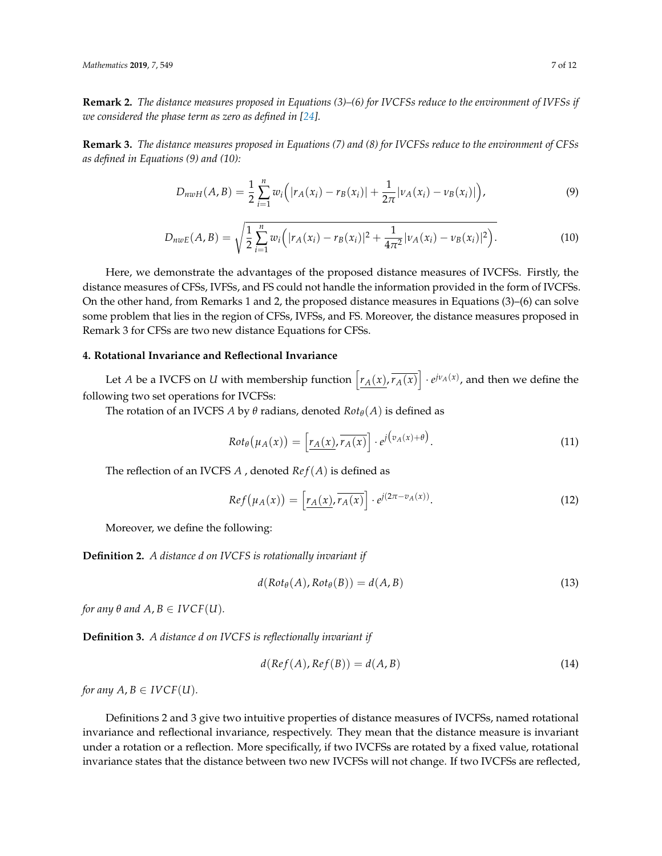**Remark 2.** *The distance measures proposed in Equations (3)–(6) for IVCFSs reduce to the environment of IVFSs if we considered the phase term as zero as defined in [\[24\]](#page-10-16).* 

**Remark 3.** *The distance measures proposed in Equations (7) and (8) for IVCFSs reduce to the environment of CFSs as defined in Equations (9) and (10):*

$$
D_{nwH}(A,B) = \frac{1}{2} \sum_{i=1}^{n} w_i \Big( |r_A(x_i) - r_B(x_i)| + \frac{1}{2\pi} |v_A(x_i) - v_B(x_i)| \Big), \tag{9}
$$

$$
D_{nwE}(A,B) = \sqrt{\frac{1}{2} \sum_{i=1}^{n} w_i \left( |r_A(x_i) - r_B(x_i)|^2 + \frac{1}{4\pi^2} |v_A(x_i) - v_B(x_i)|^2 \right)}.
$$
(10)

Here, we demonstrate the advantages of the proposed distance measures of IVCFSs. Firstly, the distance measures of CFSs, IVFSs, and FS could not handle the information provided in the form of IVCFSs. On the other hand, from Remarks 1 and 2, the proposed distance measures in Equations (3)–(6) can solve some problem that lies in the region of CFSs, IVFSs, and FS. Moreover, the distance measures proposed in Remark 3 for CFSs are two new distance Equations for CFSs.

### <span id="page-6-0"></span>**4. Rotational Invariance and Reflectional Invariance**

Let *A* be a IVCFS on *U* with membership function  $\left[r_A(x), \overline{r_A(x)}\right] \cdot e^{jv_A(x)}$ , and then we define the following two set operations for IVCFSs:

The rotation of an IVCFS *A* by  $\theta$  radians, denoted  $Rot_{\theta}(A)$  is defined as

$$
Rot_{\theta}(\mu_{A}(x)) = \left[\underline{r_{A}(x)}, \overline{r_{A}(x)}\right] \cdot e^{j\left(v_{A}(x) + \theta\right)}.
$$
\n(11)

The reflection of an IVCFS *A* , denoted *Re f*(*A*) is defined as

$$
Ref(\mu_A(x)) = \left[ \underline{r_A(x)}, \overline{r_A(x)} \right] \cdot e^{j(2\pi - v_A(x))}.
$$
 (12)

Moreover, we define the following:

**Definition 2.** *A distance d on IVCFS is rotationally invariant if*

$$
d(Rot_{\theta}(A), Rot_{\theta}(B)) = d(A,B)
$$
\n(13)

*for any*  $\theta$  *and*  $A, B \in I VCF(U)$ *.* 

**Definition 3.** *A distance d on IVCFS is reflectionally invariant if*

$$
d(Ref(A),Ref(B)) = d(A, B)
$$
\n(14)

*for any*  $A, B \in I VCF(U)$ *.* 

Definitions 2 and 3 give two intuitive properties of distance measures of IVCFSs, named rotational invariance and reflectional invariance, respectively. They mean that the distance measure is invariant under a rotation or a reflection. More specifically, if two IVCFSs are rotated by a fixed value, rotational invariance states that the distance between two new IVCFSs will not change. If two IVCFSs are reflected,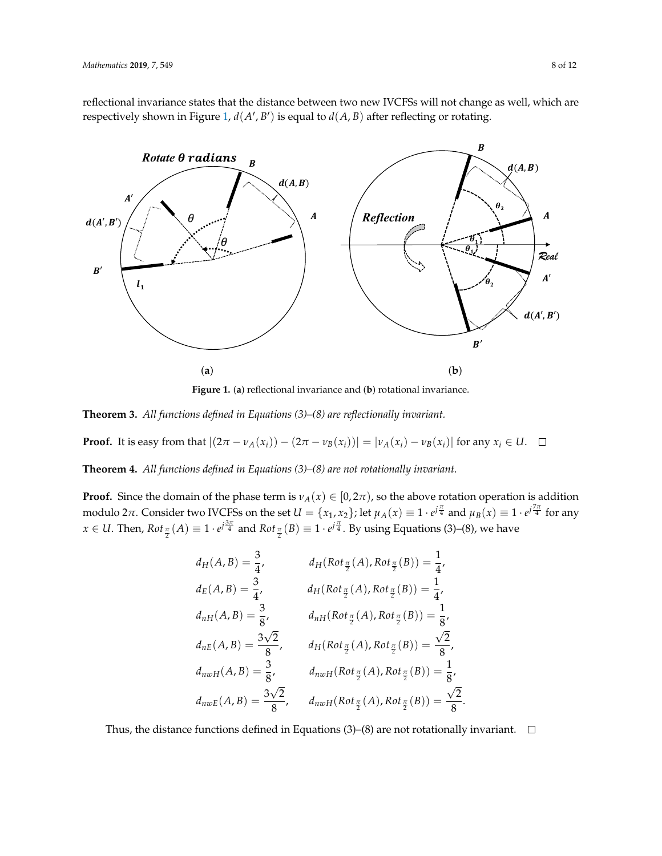reflectional invariance states that the distance between two new IVCFSs will not change as well, which are respectively shown in Figure [1,](#page-7-0)  $d(A', B')$  is equal to  $d(A, B)$  after reflecting or rotating.

<span id="page-7-0"></span>

**Figure 1.** (**a**) reflectional invariance and (**b**) rotational invariance.

**Theorem 3.** *All functions defined in Equations (3)–(8) are reflectionally invariant.*

**Proof.** It is easy from that  $|(2\pi - \nu_A(x_i)) - (2\pi - \nu_B(x_i))| = |\nu_A(x_i) - \nu_B(x_i)|$  for any  $x_i \in U$ .  $\Box$ 

**Theorem 4.** *All functions defined in Equations (3)–(8) are not rotationally invariant.*

**Proof.** Since the domain of the phase term is  $v_A(x) \in [0, 2\pi)$ , so the above rotation operation is addition modulo 2 $\pi$ . Consider two IVCFSs on the set  $U=\{x_1,x_2\}$ ; let  $\mu_A(x)\equiv 1\cdot e^{j\frac{\pi}{4}}$  and  $\mu_B(x)\equiv 1\cdot e^{j\frac{7\pi}{4}}$  for any  $x \in U$ . Then,  $Rot_{\frac{\pi}{2}}(A) \equiv 1 \cdot e^{j\frac{3\pi}{4}}$  and  $Rot_{\frac{\pi}{2}}(B) \equiv 1 \cdot e^{j\frac{\pi}{4}}$ . By using Equations (3)–(8), we have

$$
d_{H}(A, B) = \frac{3}{4}, \t d_{H}(Rot_{\frac{\pi}{2}}(A), Rot_{\frac{\pi}{2}}(B)) = \frac{1}{4},
$$
  
\n
$$
d_{E}(A, B) = \frac{3}{4}, \t d_{H}(Rot_{\frac{\pi}{2}}(A), Rot_{\frac{\pi}{2}}(B)) = \frac{1}{4},
$$
  
\n
$$
d_{nH}(A, B) = \frac{3}{8}, \t d_{nH}(Rot_{\frac{\pi}{2}}(A), Rot_{\frac{\pi}{2}}(B)) = \frac{1}{8},
$$
  
\n
$$
d_{nE}(A, B) = \frac{3\sqrt{2}}{8}, \t d_{nW}(Rot_{\frac{\pi}{2}}(A), Rot_{\frac{\pi}{2}}(B)) = \frac{\sqrt{2}}{8},
$$
  
\n
$$
d_{nwH}(A, B) = \frac{3}{8}, \t d_{nwH}(Rot_{\frac{\pi}{2}}(A), Rot_{\frac{\pi}{2}}(B)) = \frac{1}{8},
$$
  
\n
$$
d_{nwE}(A, B) = \frac{3\sqrt{2}}{8}, \t d_{nwH}(Rot_{\frac{\pi}{2}}(A), Rot_{\frac{\pi}{2}}(B)) = \frac{\sqrt{2}}{8}.
$$

Thus, the distance functions defined in Equations (3)–(8) are not rotationally invariant.  $\Box$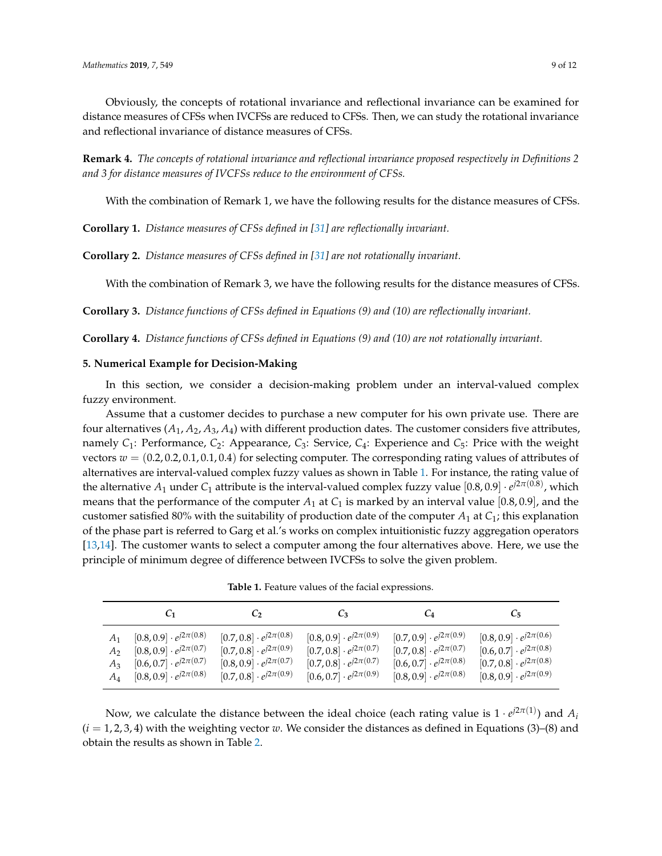Obviously, the concepts of rotational invariance and reflectional invariance can be examined for distance measures of CFSs when IVCFSs are reduced to CFSs. Then, we can study the rotational invariance and reflectional invariance of distance measures of CFSs.

**Remark 4.** *The concepts of rotational invariance and reflectional invariance proposed respectively in Definitions 2 and 3 for distance measures of IVCFSs reduce to the environment of CFSs.*

With the combination of Remark 1, we have the following results for the distance measures of CFSs.

**Corollary 1.** *Distance measures of CFSs defined in [\[31\]](#page-11-1) are reflectionally invariant.*

**Corollary 2.** *Distance measures of CFSs defined in [\[31\]](#page-11-1) are not rotationally invariant.*

With the combination of Remark 3, we have the following results for the distance measures of CFSs.

**Corollary 3.** *Distance functions of CFSs defined in Equations (9) and (10) are reflectionally invariant.*

**Corollary 4.** *Distance functions of CFSs defined in Equations (9) and (10) are not rotationally invariant.*

#### <span id="page-8-0"></span>**5. Numerical Example for Decision-Making**

In this section, we consider a decision-making problem under an interval-valued complex fuzzy environment.

Assume that a customer decides to purchase a new computer for his own private use. There are four alternatives  $(A_1, A_2, A_3, A_4)$  with different production dates. The customer considers five attributes, namely *C*1: Performance, *C*2: Appearance, *C*3: Service, *C*4: Experience and *C*5: Price with the weight vectors  $w = (0.2, 0.2, 0.1, 0.1, 0.4)$  for selecting computer. The corresponding rating values of attributes of alternatives are interval-valued complex fuzzy values as shown in Table [1.](#page-8-1) For instance, the rating value of the alternative  $A_1$  under  $C_1$  attribute is the interval-valued complex fuzzy value  $[0.8, 0.9] \cdot e^{j2\pi(0.8)}$ , which means that the performance of the computer  $A_1$  at  $C_1$  is marked by an interval value [0.8, 0.9], and the customer satisfied 80% with the suitability of production date of the computer  $A_1$  at  $C_1$ ; this explanation of the phase part is referred to Garg et al.'s works on complex intuitionistic fuzzy aggregation operators [\[13](#page-10-7)[,14\]](#page-10-17). The customer wants to select a computer among the four alternatives above. Here, we use the principle of minimum degree of difference between IVCFSs to solve the given problem.

**Table 1.** Feature values of the facial expressions.

<span id="page-8-1"></span>

|       |                                   |                                   |                                   |                                   | U5                                |
|-------|-----------------------------------|-----------------------------------|-----------------------------------|-----------------------------------|-----------------------------------|
| $A_1$ | $[0.8, 0.9] \cdot e^{j2\pi(0.8)}$ | $[0.7, 0.8] \cdot e^{j2\pi(0.8)}$ | $[0.8, 0.9] \cdot e^{j2\pi(0.9)}$ | $[0.7, 0.9] \cdot e^{j2\pi(0.9)}$ | $[0.8, 0.9] \cdot e^{j2\pi(0.6)}$ |
| $A_2$ | $[0.8, 0.9] \cdot e^{j2\pi(0.7)}$ | $[0.7, 0.8] \cdot e^{j2\pi(0.9)}$ | $[0.7, 0.8] \cdot e^{j2\pi(0.7)}$ | $[0.7, 0.8] \cdot e^{j2\pi(0.7)}$ | $[0.6, 0.7] \cdot e^{j2\pi(0.8)}$ |
| $A_3$ | $[0.6, 0.7] \cdot e^{j2\pi(0.7)}$ | $[0.8, 0.9] \cdot e^{j2\pi(0.7)}$ | $[0.7, 0.8] \cdot e^{j2\pi(0.7)}$ | $[0.6, 0.7] \cdot e^{j2\pi(0.8)}$ | $[0.7, 0.8] \cdot e^{j2\pi(0.8)}$ |
| $A_4$ | $[0.8, 0.9] \cdot e^{j2\pi(0.8)}$ | $[0.7, 0.8] \cdot e^{j2\pi(0.9)}$ | $[0.6, 0.7] \cdot e^{j2\pi(0.9)}$ | $[0.8, 0.9] \cdot e^{j2\pi(0.8)}$ | $[0.8, 0.9] \cdot e^{j2\pi(0.9)}$ |

Now, we calculate the distance between the ideal choice (each rating value is  $1 \cdot e^{j2\pi(1)}$ ) and  $A_i$  $(i = 1, 2, 3, 4)$  with the weighting vector *w*. We consider the distances as defined in Equations (3)–(8) and obtain the results as shown in Table [2.](#page-9-5)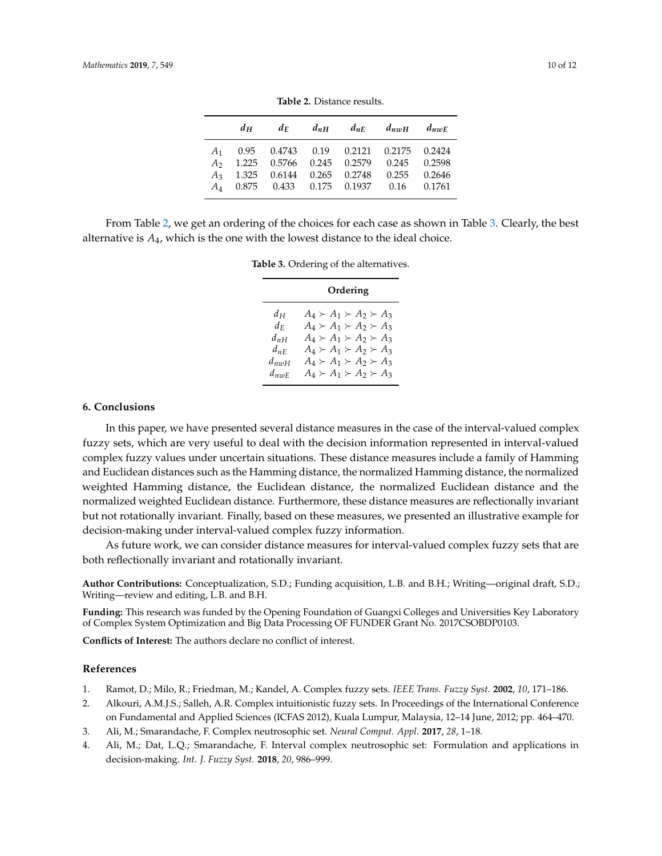<span id="page-9-5"></span>

|       | $d_H$ |                                                                                                     | $d_E$ $d_{nH}$ $d_{nE}$ $d_{nwh}$ $d_{nwh}$ |  |
|-------|-------|-----------------------------------------------------------------------------------------------------|---------------------------------------------|--|
| $A_1$ |       | 0.95  0.4743  0.19  0.2121  0.2175  0.2424<br>A <sub>2</sub> 1.225 0.5766 0.245 0.2579 0.245 0.2598 |                                             |  |
|       |       | $A_3$ 1.325 0.6144 0.265 0.2748 0.255 0.2646<br>A <sub>4</sub> 0.875 0.433 0.175 0.1937 0.16 0.1761 |                                             |  |

**Table 2.** Distance results.

<span id="page-9-6"></span>From Table [2,](#page-9-5) we get an ordering of the choices for each case as shown in Table [3.](#page-9-6) Clearly, the best alternative is *A*4, which is the one with the lowest distance to the ideal choice.

|  |  |  | Table 3. Ordering of the alternatives. |
|--|--|--|----------------------------------------|
|--|--|--|----------------------------------------|

|           | Ordering                            |  |  |
|-----------|-------------------------------------|--|--|
| $d_H$     | $A_4 \succ A_1 \succ A_2 \succ A_3$ |  |  |
| $d_E$     | $A_4 \succ A_1 \succ A_2 \succ A_3$ |  |  |
| $d_{nH}$  | $A_4 \succ A_1 \succ A_2 \succ A_3$ |  |  |
| $d_{nF}$  | $A_4 \succ A_1 \succ A_2 \succ A_3$ |  |  |
| $d_{nmH}$ | $A_4 \succ A_1 \succ A_2 \succ A_3$ |  |  |
| $d_{nnF}$ | $A_4 \succ A_1 \succ A_2 \succ A_3$ |  |  |

#### <span id="page-9-4"></span>**6. Conclusions**

In this paper, we have presented several distance measures in the case of the interval-valued complex fuzzy sets, which are very useful to deal with the decision information represented in interval-valued complex fuzzy values under uncertain situations. These distance measures include a family of Hamming and Euclidean distances such as the Hamming distance, the normalized Hamming distance, the normalized weighted Hamming distance, the Euclidean distance, the normalized Euclidean distance and the normalized weighted Euclidean distance. Furthermore, these distance measures are reflectionally invariant but not rotationally invariant. Finally, based on these measures, we presented an illustrative example for decision-making under interval-valued complex fuzzy information.

As future work, we can consider distance measures for interval-valued complex fuzzy sets that are both reflectionally invariant and rotationally invariant.

**Author Contributions:** Conceptualization, S.D.; Funding acquisition, L.B. and B.H.; Writing—original draft, S.D.; Writing—review and editing, L.B. and B.H.

**Funding:** This research was funded by the Opening Foundation of Guangxi Colleges and Universities Key Laboratory of Complex System Optimization and Big Data Processing OF FUNDER Grant No. 2017CSOBDP0103.

**Conflicts of Interest:** The authors declare no conflict of interest.

### **References**

- <span id="page-9-0"></span>1. Ramot, D.; Milo, R.; Friedman, M.; Kandel, A. Complex fuzzy sets. *IEEE Trans. Fuzzy Syst.* **2002**, *10*, 171–186.
- <span id="page-9-1"></span>2. Alkouri, A.M.J.S.; Salleh, A.R. Complex intuitionistic fuzzy sets. In Proceedings of the International Conference on Fundamental and Applied Sciences (ICFAS 2012), Kuala Lumpur, Malaysia, 12–14 June, 2012; pp. 464–470.
- <span id="page-9-2"></span>3. Ali, M.; Smarandache, F. Complex neutrosophic set. *Neural Comput. Appl.* **2017**, *28*, 1–18.
- <span id="page-9-3"></span>4. Ali, M.; Dat, L.Q.; Smarandache, F. Interval complex neutrosophic set: Formulation and applications in decision-making. *Int. J. Fuzzy Syst.* **2018**, *20*, 986–999.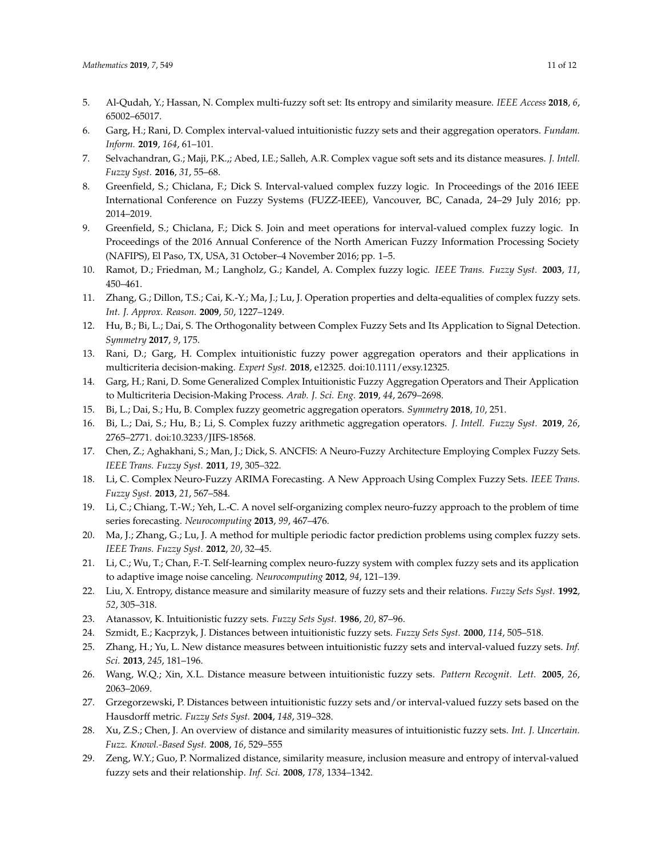- <span id="page-10-0"></span>5. Al-Qudah, Y.; Hassan, N. Complex multi-fuzzy soft set: Its entropy and similarity measure. *IEEE Access* **2018**, *6*, 65002–65017.
- <span id="page-10-1"></span>6. Garg, H.; Rani, D. Complex interval-valued intuitionistic fuzzy sets and their aggregation operators. *Fundam. Inform.* **2019**, *164*, 61–101.
- <span id="page-10-2"></span>7. Selvachandran, G.; Maji, P.K.,; Abed, I.E.; Salleh, A.R. Complex vague soft sets and its distance measures. *J. Intell. Fuzzy Syst.* **2016**, *31*, 55–68.
- <span id="page-10-3"></span>8. Greenfield, S.; Chiclana, F.; Dick S. Interval-valued complex fuzzy logic. In Proceedings of the 2016 IEEE International Conference on Fuzzy Systems (FUZZ-IEEE), Vancouver, BC, Canada, 24–29 July 2016; pp. 2014–2019.
- <span id="page-10-4"></span>9. Greenfield, S.; Chiclana, F.; Dick S. Join and meet operations for interval-valued complex fuzzy logic. In Proceedings of the 2016 Annual Conference of the North American Fuzzy Information Processing Society (NAFIPS), El Paso, TX, USA, 31 October–4 November 2016; pp. 1–5.
- <span id="page-10-5"></span>10. Ramot, D.; Friedman, M.; Langholz, G.; Kandel, A. Complex fuzzy logic. *IEEE Trans. Fuzzy Syst.* **2003**, *11*, 450–461.
- <span id="page-10-14"></span>11. Zhang, G.; Dillon, T.S.; Cai, K.-Y.; Ma, J.; Lu, J. Operation properties and delta-equalities of complex fuzzy sets. *Int. J. Approx. Reason.* **2009**, *50*, 1227–1249.
- <span id="page-10-6"></span>12. Hu, B.; Bi, L.; Dai, S. The Orthogonality between Complex Fuzzy Sets and Its Application to Signal Detection. *Symmetry* **2017**, *9*, 175.
- <span id="page-10-7"></span>13. Rani, D.; Garg, H. Complex intuitionistic fuzzy power aggregation operators and their applications in multicriteria decision-making. *Expert Syst.* **2018**, e12325. doi:10.1111/exsy.12325.
- <span id="page-10-17"></span>14. Garg, H.; Rani, D. Some Generalized Complex Intuitionistic Fuzzy Aggregation Operators and Their Application to Multicriteria Decision-Making Process. *Arab. J. Sci. Eng.* **2019**, *44*, 2679–2698.
- <span id="page-10-15"></span>15. Bi, L.; Dai, S.; Hu, B. Complex fuzzy geometric aggregation operators. *Symmetry* **2018**, *10*, 251.
- <span id="page-10-8"></span>16. Bi, L.; Dai, S.; Hu, B.; Li, S. Complex fuzzy arithmetic aggregation operators. *J. Intell. Fuzzy Syst.* **2019**, *26*, 2765–2771. doi:10.3233/JIFS-18568.
- <span id="page-10-9"></span>17. Chen, Z.; Aghakhani, S.; Man, J.; Dick, S. ANCFIS: A Neuro-Fuzzy Architecture Employing Complex Fuzzy Sets. *IEEE Trans. Fuzzy Syst.* **2011**, *19*, 305–322.
- 18. Li, C. Complex Neuro-Fuzzy ARIMA Forecasting. A New Approach Using Complex Fuzzy Sets. *IEEE Trans. Fuzzy Syst.* **2013**, *21*, 567–584.
- 19. Li, C.; Chiang, T.-W.; Yeh, L.-C. A novel self-organizing complex neuro-fuzzy approach to the problem of time series forecasting. *Neurocomputing* **2013**, *99*, 467–476.
- <span id="page-10-10"></span>20. Ma, J.; Zhang, G.; Lu, J. A method for multiple periodic factor prediction problems using complex fuzzy sets. *IEEE Trans. Fuzzy Syst.* **2012**, *20*, 32–45.
- <span id="page-10-11"></span>21. Li, C.; Wu, T.; Chan, F.-T. Self-learning complex neuro-fuzzy system with complex fuzzy sets and its application to adaptive image noise canceling. *Neurocomputing* **2012**, *94*, 121–139.
- <span id="page-10-12"></span>22. Liu, X. Entropy, distance measure and similarity measure of fuzzy sets and their relations. *Fuzzy Sets Syst.* **1992**, *52*, 305–318.
- 23. Atanassov, K. Intuitionistic fuzzy sets. *Fuzzy Sets Syst.* **1986**, *20*, 87–96.
- <span id="page-10-16"></span>24. Szmidt, E.; Kacprzyk, J. Distances between intuitionistic fuzzy sets. *Fuzzy Sets Syst.* **2000**, *114*, 505–518.
- 25. Zhang, H.; Yu, L. New distance measures between intuitionistic fuzzy sets and interval-valued fuzzy sets. *Inf. Sci.* **2013**, *245*, 181–196.
- 26. Wang, W.Q.; Xin, X.L. Distance measure between intuitionistic fuzzy sets. *Pattern Recognit. Lett.* **2005**, *26*, 2063–2069.
- 27. Grzegorzewski, P. Distances between intuitionistic fuzzy sets and/or interval-valued fuzzy sets based on the Hausdorff metric. *Fuzzy Sets Syst.* **2004**, *148*, 319–328.
- 28. Xu, Z.S.; Chen, J. An overview of distance and similarity measures of intuitionistic fuzzy sets. *Int. J. Uncertain. Fuzz. Knowl.-Based Syst.* **2008**, *16*, 529–555
- <span id="page-10-13"></span>29. Zeng, W.Y.; Guo, P. Normalized distance, similarity measure, inclusion measure and entropy of interval-valued fuzzy sets and their relationship. *Inf. Sci.* **2008**, *178*, 1334–1342.